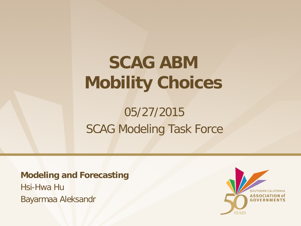# **SCAG ABM Mobility Choices**

### 05/27/2015 SCAG Modeling Task Force

**Modeling and Forecasting**

Hsi-Hwa Hu Bayarmaa Aleksandr

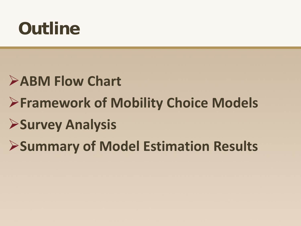# **Outline**

### **ABM Flow Chart**

### **Framework of Mobility Choice Models**

### **Survey Analysis**

### **Summary of Model Estimation Results**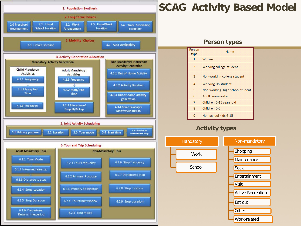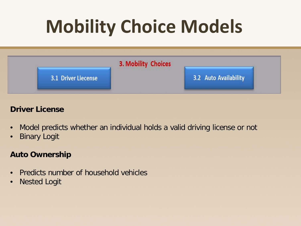# **Mobility Choice Models**



#### **Driver License**

- Model predicts whether an individual holds a valid driving license or not
- Binary Logit

#### **Auto Ownership**

- Predicts number of household vehicles
- Nested Logit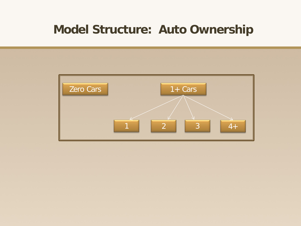### **Model Structure: Auto Ownership**

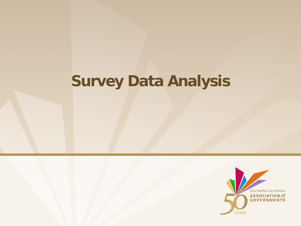### **Survey Data Analysis**

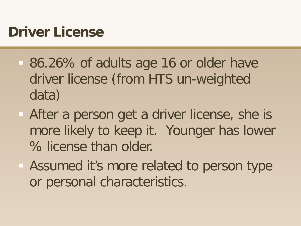### **Driver License**

- 86.26% of adults age 16 or older have driver license (from HTS un-weighted data)
- After a person get a driver license, she is more likely to keep it. Younger has lower % license than older.
- Assumed it's more related to person type or personal characteristics.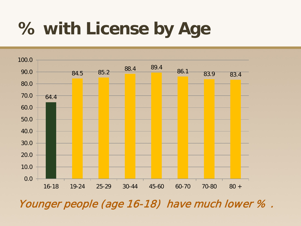# **% with License by Age**



Younger people (age 16-18) have much lower % .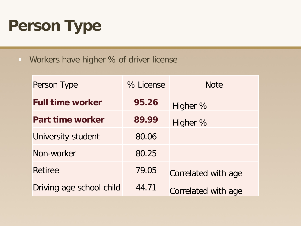## **Person Type**

**Workers have higher % of driver license** 

| Person Type              | % License | <b>Note</b>         |
|--------------------------|-----------|---------------------|
| <b>Full time worker</b>  | 95.26     | Higher %            |
| Part time worker         | 89.99     | Higher %            |
| University student       | 80.06     |                     |
| Non-worker               | 80.25     |                     |
| <b>Retiree</b>           | 79.05     | Correlated with age |
| Driving age school child | 44.71     | Correlated with age |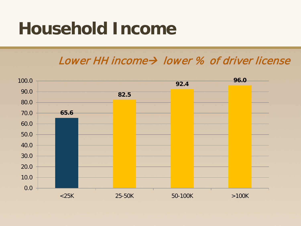## **Household Income**

#### Lower HH income  $\rightarrow$  lower % of driver license

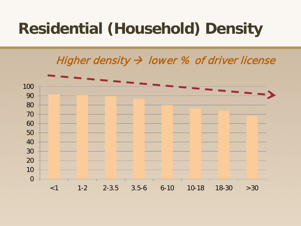### **Residential (Household) Density**

#### Higher density  $\rightarrow$  lower % of driver license

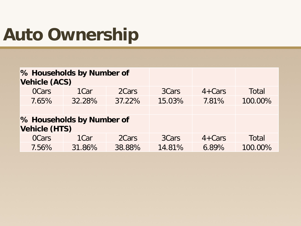# **Auto Ownership**

| <b>Vehicle (ACS)</b>      | % Households by Number of |        |        |            |         |  |
|---------------------------|---------------------------|--------|--------|------------|---------|--|
| <b>OCars</b>              | 1 <sub>C</sub> ar         | 2Cars  | 3Cars  | $4 + Cars$ | Total   |  |
| 7.65%                     | 32.28%                    | 37.22% | 15.03% | 7.81%      | 100.00% |  |
|                           |                           |        |        |            |         |  |
| % Households by Number of |                           |        |        |            |         |  |
| <b>Vehicle (HTS)</b>      |                           |        |        |            |         |  |
| <b>OCars</b>              | 1 <sub>C</sub> ar         | 2Cars  | 3Cars  | $4 + Cars$ | Total   |  |
| 7.56%                     | 31.86%                    | 38.88% | 14.81% | 6.89%      | 100.00% |  |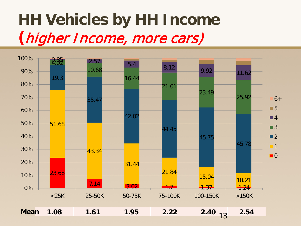## **HH Vehicles by HH Income (**higher Income, more cars)

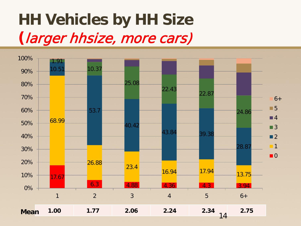## **HH Vehicles by HH Size (**larger hhsize, more cars)

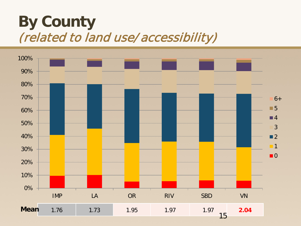### **By County** (related to land use/accessibility)

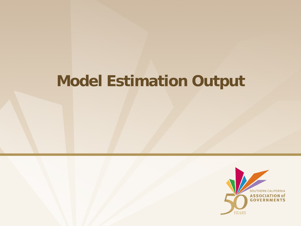### **Model Estimation Output**

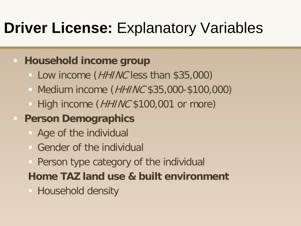### **Driver License: Explanatory Variables**

#### **Household income group**

- Low income (*HHINC* less than \$35,000)
- Medium income (*HHINC* \$35,000-\$100,000)
- $-$  High income (*HHINC* \$100,001 or more)

### **Person Demographics**

- Age of the individual
- Gender of the individual
- Person type category of the individual
- **Home TAZ land use & built environment**
- **Household density**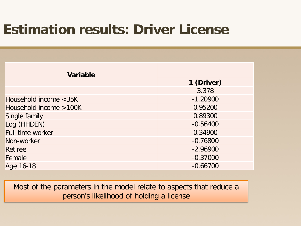### **Estimation results: Driver License**

| <b>Variable</b>        |            |  |  |
|------------------------|------------|--|--|
|                        | 1 (Driver) |  |  |
|                        | 3.378      |  |  |
| Household income <35K  | $-1.20900$ |  |  |
| Household income >100K | 0.95200    |  |  |
| Single family          | 0.89300    |  |  |
| Log (HHDEN)            | $-0.56400$ |  |  |
| Full time worker       | 0.34900    |  |  |
| Non-worker             | $-0.76800$ |  |  |
| <b>Retiree</b>         | $-2.96900$ |  |  |
| Female                 | $-0.37000$ |  |  |
| Age 16-18              | $-0.66700$ |  |  |

Most of the parameters in the model relate to aspects that reduce a person's likelihood of holding a license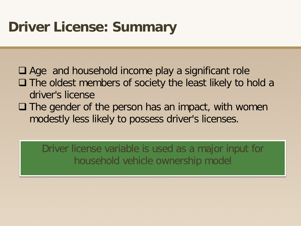### **Driver License: Summary**

 Age and household income play a significant role  $\Box$  The oldest members of society the least likely to hold a driver's license

 $\Box$  The gender of the person has an impact, with women modestly less likely to possess driver's licenses.

Driver license variable is used as a major input for household vehicle ownership model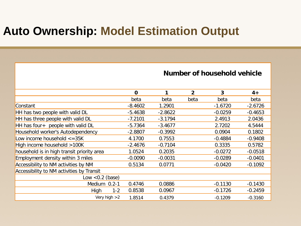### **Auto Ownership: Model Estimation Output**

|                                            | $\mathbf 0$ | 1         | $\overline{2}$ | 3         | $4+$      |
|--------------------------------------------|-------------|-----------|----------------|-----------|-----------|
|                                            | beta        | beta      | beta           | beta      | beta      |
| Constant                                   | $-8.4602$   | 1.2901    |                | $-1.6720$ | $-2.6726$ |
| HH has two people with valid DL            | $-5.4638$   | $-2.8622$ |                | $-0.0259$ | $-0.4653$ |
| HH has three people with valid DL          | $-7.2101$   | $-3.1794$ |                | 2.4913    | 2.0436    |
| HH has four + people with valid DL         | $-5.7364$   | $-3.4677$ |                | 2.7202    | 4.5444    |
| Household worker's Autodependency          | $-2.8807$   | $-0.3992$ |                | 0.0904    | 0.1802    |
| Low income household $\epsilon$ =35K       | 4.1700      | 0.7553    |                | $-0.4884$ | $-0.9408$ |
| High income household >100K                | $-2.4676$   | $-0.7104$ |                | 0.3335    | 0.5782    |
| household is in high transit priority area | 1.0524      | 0.2035    |                | $-0.0272$ | $-0.0518$ |
| Employment density within 3 miles          | $-0.0090$   | $-0.0031$ |                | $-0.0289$ | $-0.0401$ |
| Accessibility to NM activities by NM       | 0.5134      | 0.0771    |                | $-0.0420$ | $-0.1092$ |
| Accessibility to NM activities by Transit  |             |           |                |           |           |
| Low $< 0.2$ (base)                         |             |           |                |           |           |
| Medium 0.2-1                               | 0.4746      | 0.0886    |                | $-0.1130$ | $-0.1430$ |
| High<br>$1 - 2$                            | 0.8538      | 0.0967    |                | $-0.1726$ | $-0.2459$ |
| Very high $>2$                             | 1.8514      | 0.4379    |                | $-0.1209$ | $-0.3160$ |

#### **Number of household vehicle**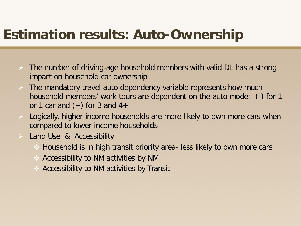### **Estimation results: Auto-Ownership**

- $\triangleright$  The number of driving-age household members with valid DL has a strong impact on household car ownership
- $\triangleright$  The mandatory travel auto dependency variable represents how much household members' work tours are dependent on the auto mode: (-) for 1 or 1 car and  $(+)$  for 3 and 4+
- Logically, higher-income households are more likely to own more cars when compared to lower income households
- Land Use & Accessibility
	- Household is in high transit priority area- less likely to own more cars
	- $\triangle$  Accessibility to NM activities by NM
	- Accessibility to NM activities by Transit